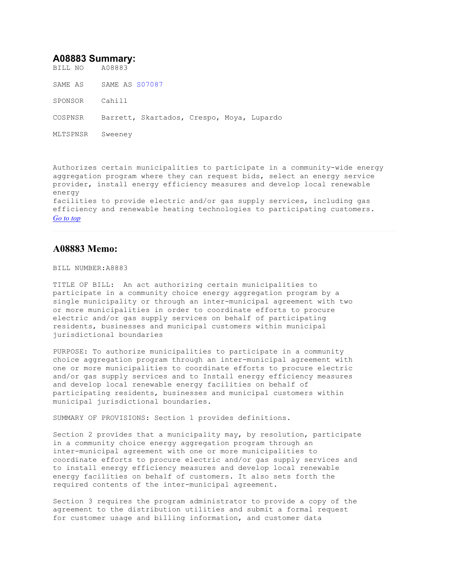# **A08883 Summary:**

BILL NO A08883

SAME AS SAME AS S07087

SPONSOR Cahill

COSPNSR Barrett, Skartados, Crespo, Moya, Lupardo

MLTSPNSR Sweeney

Authorizes certain municipalities to participate in a community-wide energy aggregation program where they can request bids, select an energy service provider, install energy efficiency measures and develop local renewable energy facilities to provide electric and/or gas supply services, including gas efficiency and renewable heating technologies to participating customers. *Go to top*

## **A08883 Memo:**

### BILL NUMBER:A8883

TITLE OF BILL: An act authorizing certain municipalities to participate in a community choice energy aggregation program by a single municipality or through an inter-municipal agreement with two or more municipalities in order to coordinate efforts to procure electric and/or gas supply services on behalf of participating residents, businesses and municipal customers within municipal jurisdictional boundaries

PURPOSE: To authorize municipalities to participate in a community choice aggregation program through an inter-municipal agreement with one or more municipalities to coordinate efforts to procure electric and/or gas supply services and to Install energy efficiency measures and develop local renewable energy facilities on behalf of participating residents, businesses and municipal customers within municipal jurisdictional boundaries.

SUMMARY OF PROVISIONS: Section 1 provides definitions.

Section 2 provides that a municipality may, by resolution, participate in a community choice energy aggregation program through an inter-municipal agreement with one or more municipalities to coordinate efforts to procure electric and/or gas supply services and to install energy efficiency measures and develop local renewable energy facilities on behalf of customers. It also sets forth the required contents of the inter-municipal agreement.

Section 3 requires the program administrator to provide a copy of the agreement to the distribution utilities and submit a formal request for customer usage and billing information, and customer data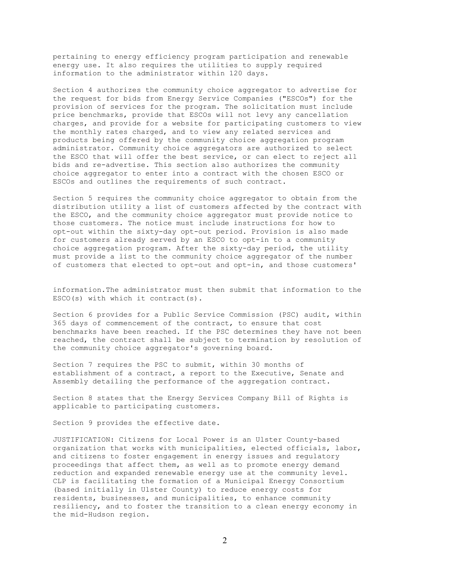pertaining to energy efficiency program participation and renewable energy use. It also requires the utilities to supply required information to the administrator within 120 days.

Section 4 authorizes the community choice aggregator to advertise for the request for bids from Energy Service Companies ("ESCOs") for the provision of services for the program. The solicitation must include price benchmarks, provide that ESCOs will not levy any cancellation charges, and provide for a website for participating customers to view the monthly rates charged, and to view any related services and products being offered by the community choice aggregation program administrator. Community choice aggregators are authorized to select the ESCO that will offer the best service, or can elect to reject all bids and re-advertise. This section also authorizes the community choice aggregator to enter into a contract with the chosen ESCO or ESCOs and outlines the requirements of such contract.

Section 5 requires the community choice aggregator to obtain from the distribution utility a list of customers affected by the contract with the ESCO, and the community choice aggregator must provide notice to those customers. The notice must include instructions for how to opt-out within the sixty-day opt-out period. Provision is also made for customers already served by an ESCO to opt-in to a community choice aggregation program. After the sixty-day period, the utility must provide a list to the community choice aggregator of the number of customers that elected to opt-out and opt-in, and those customers'

information.The administrator must then submit that information to the ESCO(s) with which it contract(s).

Section 6 provides for a Public Service Commission (PSC) audit, within 365 days of commencement of the contract, to ensure that cost benchmarks have been reached. If the PSC determines they have not been reached, the contract shall be subject to termination by resolution of the community choice aggregator's governing board.

Section 7 requires the PSC to submit, within 30 months of establishment of a contract, a report to the Executive, Senate and Assembly detailing the performance of the aggregation contract.

Section 8 states that the Energy Services Company Bill of Rights is applicable to participating customers.

Section 9 provides the effective date.

JUSTIFICATION: Citizens for Local Power is an Ulster County-based organization that works with municipalities, elected officials, labor, and citizens to foster engagement in energy issues and regulatory proceedings that affect them, as well as to promote energy demand reduction and expanded renewable energy use at the community level. CLP is facilitating the formation of a Municipal Energy Consortium (based initially in Ulster County) to reduce energy costs for residents, businesses, and municipalities, to enhance community resiliency, and to foster the transition to a clean energy economy in the mid-Hudson region.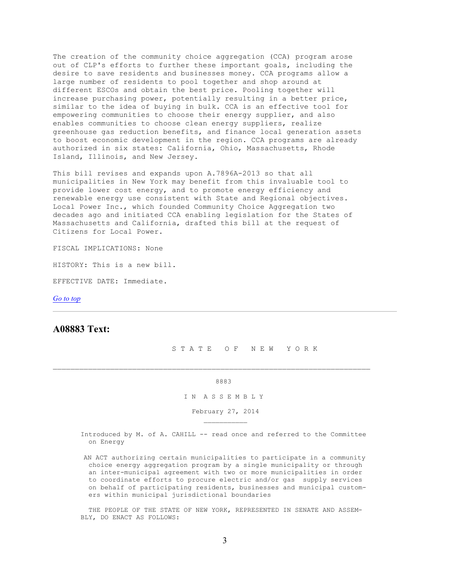The creation of the community choice aggregation (CCA) program arose out of CLP's efforts to further these important goals, including the desire to save residents and businesses money. CCA programs allow a large number of residents to pool together and shop around at different ESCOs and obtain the best price. Pooling together will increase purchasing power, potentially resulting in a better price, similar to the idea of buying in bulk. CCA is an effective tool for empowering communities to choose their energy supplier, and also enables communities to choose clean energy suppliers, realize greenhouse gas reduction benefits, and finance local generation assets to boost economic development in the region. CCA programs are already authorized in six states: California, Ohio, Massachusetts, Rhode Island, Illinois, and New Jersey.

This bill revises and expands upon A.7896A-2013 so that all municipalities in New York may benefit from this invaluable tool to provide lower cost energy, and to promote energy efficiency and renewable energy use consistent with State and Regional objectives. Local Power Inc., which founded Community Choice Aggregation two decades ago and initiated CCA enabling legislation for the States of Massachusetts and California, drafted this bill at the request of Citizens for Local Power.

FISCAL IMPLICATIONS: None

HISTORY: This is a new bill.

\_\_\_\_\_\_\_\_\_\_\_

EFFECTIVE DATE: Immediate.

*Go to top*

# **A08883 Text:**

S T A T E O F N E W Y O R K

#### <u>8883</u>

### I N A S S E M B L Y

February 27, 2014

 Introduced by M. of A. CAHILL -- read once and referred to the Committee on Energy

 AN ACT authorizing certain municipalities to participate in a community choice energy aggregation program by a single municipality or through an inter-municipal agreement with two or more municipalities in order to coordinate efforts to procure electric and/or gas supply services on behalf of participating residents, businesses and municipal custom ers within municipal jurisdictional boundaries

 THE PEOPLE OF THE STATE OF NEW YORK, REPRESENTED IN SENATE AND ASSEM- BLY, DO ENACT AS FOLLOWS: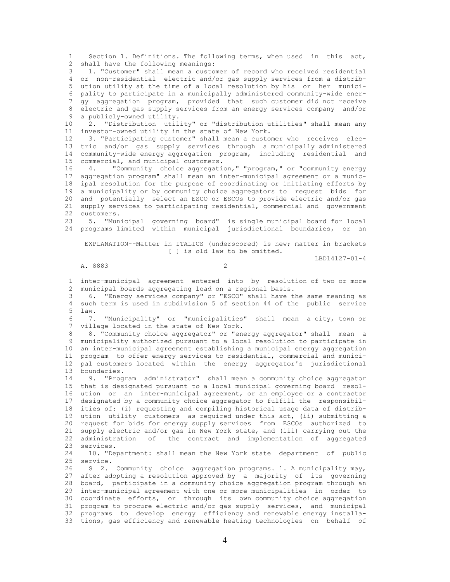1 Section 1. Definitions. The following terms, when used in this act, 2 shall have the following meanings:

 3 1. "Customer" shall mean a customer of record who received residential 4 or non-residential electric and/or gas supply services from a distrib-<br>5 ution utility at the time of a local resolution by his or her municiution utility at the time of a local resolution by his or her munici- 6 pality to participate in a municipally administered community-wide ener- 7 gy aggregation program, provided that such customer did not receive 8 electric and gas supply services from an energy services company and/or 9 a publicly-owned utility. a publicly-owned utility.

 10 2. "Distribution utility" or "distribution utilities" shall mean any 11 investor-owned utility in the state of New York.<br>12 3 "Participating customer" shall mean a custo

 12 3. "Participating customer" shall mean a customer who receives elec- 13 tric and/or gas supply services through a municipally administered 14 community-wide energy aggregation program, including residential and 15 commercial, and municipal customers.

 16 4. "Community choice aggregation," "program," or "community energy 17 aggregation program" shall mean an inter-municipal agreement or a munic- 18 ipal resolution for the purpose of coordinating or initiating efforts by 19 a municipality or by community choice aggregators to request bids for 20 and potentially select an ESCO or ESCOs to provide electric and/or gas 21 supply services to participating residential, commercial and government<br>22 customers customers.

 23 5. "Municipal governing board" is single municipal board for local 24 programs limited within municipal jurisdictional boundaries, or an

 EXPLANATION--Matter in ITALICS (underscored) is new; matter in brackets [ ] is old law to be omitted.

LBD14127-01-4

### A. 8883 2

 1 inter-municipal agreement entered into by resolution of two or more 2 municipal boards aggregating load on a regional basis.

 3 6. "Energy services company" or "ESCO" shall have the same meaning as 4 such term is used in subdivision 5 of section 44 of the public service 5 law.<br>6 7.

 6 7. "Municipality" or "municipalities" shall mean a city, town or 7 village located in the state of New York.

 8 8. "Community choice aggregator" or "energy aggregator" shall mean a 9 municipality authorized pursuant to a local resolution to participate in 10 an inter-municipal agreement establishing a municipal energy aggregation 11 program to offer energy services to residential, commercial and munici- 12 pal customers located within the energy aggregator's jurisdictional 13 boundaries.

 14 9. "Program administrator" shall mean a community choice aggregator 15 that is designated pursuant to a local municipal governing board resol- 16 ution or an inter-municipal agreement, or an employee or a contractor 17 designated by a community choice aggregator to fulfill the responsibil- 18 ities of: (i) requesting and compiling historical usage data of distrib- 19 ution utility customers as required under this act, (ii) submitting a 20 request for bids for energy supply services from ESCOs authorized to 21 supply electric and/or gas in New York state, and (iii) carrying out the 22 administration of the contract and implementation of aggregated 23 services.

 24 10. "Department: shall mean the New York state department of public 25 service.<br>26 S 2

 26 S 2. Community choice aggregation programs. 1. A municipality may, 27 after adopting a resolution approved by a majority of its governing 28 board, participate in a community choice aggregation program through an 29 inter-municipal agreement with one or more municipalities in order to 30 coordinate efforts, or through its own community choice aggregation 31 program to procure electric and/or gas supply services, and municipal 32 programs to develop energy efficiency and renewable energy installa- 33 tions, gas efficiency and renewable heating technologies on behalf of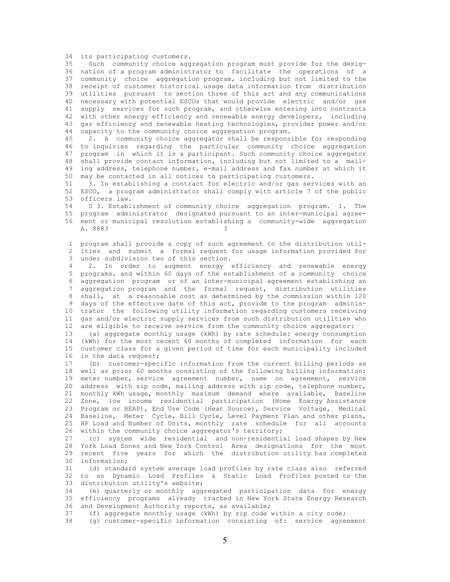34 its participating customers.<br>35 Such community choice agg

Such community choice aggregation program must provide for the desig- 36 nation of a program administrator to facilitate the operations of a 37 community choice aggregation program, including but not limited to the 38 receipt of customer historical usage data information from distribution 39 utilities pursuant to section three of this act and any communications 40 necessary with potential ESCOs that would provide electric and/or gas 41 supply services for such program, and otherwise entering into contracts 42 with other energy efficiency and renewable energy developers, including 43 gas efficiency and renewable heating technologies, provider power and/or 44 capacity to the community choice aggregation program.<br>45 2 2 Community choice aggregator shall be respons

2. A community choice aggregator shall be responsible for responding 46 to inquiries regarding the particular community choice aggregation 47 program in which it is a participant. Such community choice aggregator 48 shall provide contact information, including but not limited to a mail- 49 ing address, telephone number, e-mail address and fax number at which it 50 may be contacted in all notices to participating customers.

 51 3. In establishing a contract for electric and/or gas services with an 52 ESCO, a program administrator shall comply with article 7 of the public<br>53 officers law. 53 officers law.<br>54 S 3. Establ:

54 S 3. Establishment of community choice aggregation program. 1. The<br>55 program administrator designated pursuant to an inter-municipal agree- 55 program administrator designated pursuant to an inter-municipal agree- 56 ment or municipal resolution establishing a community-wide aggregation A. 8883 3

 1 program shall provide a copy of such agreement to the distribution util- 2 ities and submit a formal request for usage information provided for 3 under subdivision two of this section.<br>4 2 In order to augment energy

2. In order to augment energy efficiency and renewable energy 5 programs, and within 60 days of the establishment of a community choice 6 aggregation program or of an inter-municipal agreement establishing an 7 aggregation program and the formal request, distribution utilities 8 shall, at a reasonable cost as determined by the commission within 120 9 days of the effective date of this act, provide to the program adminis- 10 trator the following utility information regarding customers receiving 11 gas and/or electric supply services from such distribution utilities who 12 are eligible to receive service from the community choice aggregator:

 13 (a) aggregate monthly usage (kWh) by rate schedule: energy consumption 14 (kWh) for the most recent 60 months of completed information for each 15 customer class for a given period of time for each municipality included 16 in the data request;<br>17 (b) customer-spec

(b) customer-specific information from the current billing periods as 18 well as prior 60 months consisting of the following billing information: 19 meter number, service agreement number, name on agreement, service 20 address with zip code, mailing address with zip code, telephone number, 21 monthly kWh usage, monthly maximum demand where available, Baseline 22 Zone, low income residential participation (Home Energy Assistance 23 Program or HEAP), End Use Code (Heat Source), Service Voltage, Medical 24 Baseline, Meter Cycle, Bill Cycle, Level Payment Plan and other plans, 25 HP Load and Number of Units, monthly rate schedule for all accounts 26 within the community choice aggregator's territory;

 27 (c) system wide residential and non-residential load shapes by New 28 York Load Zones and New York Control Area designations for the most 29 recent five years for which the distribution utility has completed 30 information;<br>31 (d) standa

(d) standard system average load profiles by rate class also referred 32 to as Dynamic Load Profiles & Static Load Profiles posted to the 33 distribution utility's website;

 34 (e) quarterly or monthly aggregated participation data for energy 35 efficiency programs already tracked in New York State Energy Research 36 and Development Authority reports, as available;

37 (f) aggregate monthly usage (kWh) by zip code within a city code;

38 (g) customer-specific information consisting of: service agreement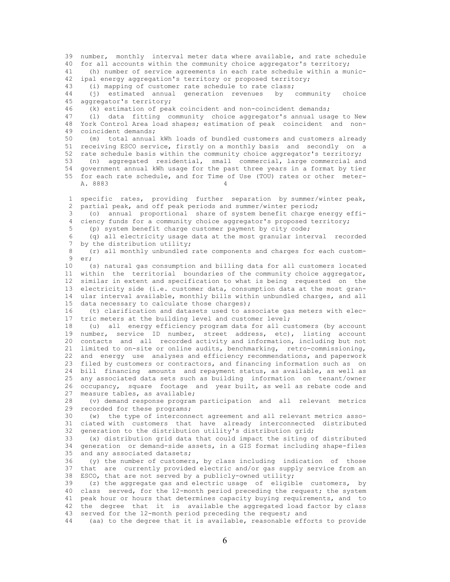39 number, monthly interval meter data where available, and rate schedule 40 for all accounts within the community choice aggregator's territory; 41 (h) number of service agreements in each rate schedule within a munic- 42 ipal energy aggregation's territory or proposed territory; 43 (i) mapping of customer rate schedule to rate class; 44 (j) estimated annual generation revenues by community choice 45 aggregator's territory; 46 (k) estimation of peak coincident and non-coincident demands; 47 (l) data fitting community choice aggregator's annual usage to New 48 York Control Area load shapes; estimation of peak coincident and non- 49 coincident demands;<br>50 (m) total annual (m) total annual kWh loads of bundled customers and customers already 51 receiving ESCO service, firstly on a monthly basis and secondly on a 52 rate schedule basis within the community choice aggregator's territory; 53 (n) aggregated residential, small commercial, large commercial and 54 government annual kWh usage for the past three years in a format by tier 55 for each rate schedule, and for Time of Use (TOU) rates or other meter- A. 8883 4 1 specific rates, providing further separation by summer/winter peak, 2 partial peak, and off peak periods and summer/winter period;<br>3 (0) annual proportional share of system benefit charge (o) annual proportional share of system benefit charge energy effi- 4 ciency funds for a community choice aggregator's proposed territory; 5 (p) system benefit charge customer payment by city code; 6 (q) all electricity usage data at the most granular interval recorded 7 by the distribution utility; 8 (r) all monthly unbundled rate components and charges for each custom-<br>9 er: 9 er;<br>10 ( 10 (s) natural gas consumption and billing data for all customers located 11 within the territorial boundaries of the community choice aggregator, 12 similar in extent and specification to what is being requested on the 13 electricity side (i.e. customer data, consumption data at the most gran- 14 ular interval available, monthly bills within unbundled charges, and all 15 data necessary to calculate those charges); 16 (t) clarification and datasets used to associate gas meters with elec- 17 tric meters at the building level and customer level; 18 (u) all energy efficiency program data for all customers (by account 19 number, service ID number, street address, etc), listing account 20 contacts and all recorded activity and information, including but not 21 limited to on-site or online audits, benchmarking, retro-commissioning, 22 and energy use analyses and efficiency recommendations, and paperwork 23 filed by customers or contractors, and financing information such as on 24 bill financing amounts and repayment status, as available, as well as 25 any associated data sets such as building information on tenant/owner 26 occupancy, square footage and year built, as well as rebate code and 27 measure tables, as available; 28 (v) demand response program participation and all relevant metrics 29 recorded for these programs;<br>30 (w) the type of interconn 30 (w) the type of interconnect agreement and all relevant metrics asso ciated with customers that have already interconnected distributed 32 generation to the distribution utility's distribution grid; 33 (x) distribution grid data that could impact the siting of distributed 34 generation or demand-side assets, in a GIS format including shape-files 35 and any associated datasets; 36 (y) the number of customers, by class including indication of those<br>37 that are currently provided electric and/or gas supply service from an that are currently provided electric and/or gas supply service from an 38 ESCO, that are not served by a publicly-owned utility; 39 (z) the aggregate gas and electric usage of eligible customers, by 40 class served, for the 12-month period preceding the request; the system 41 peak hour or hours that determines capacity buying requirements, and to 42 the degree that it is available the aggregated load factor by class 43 served for the 12-month period preceding the request; and 44 (aa) to the degree that it is available, reasonable efforts to provide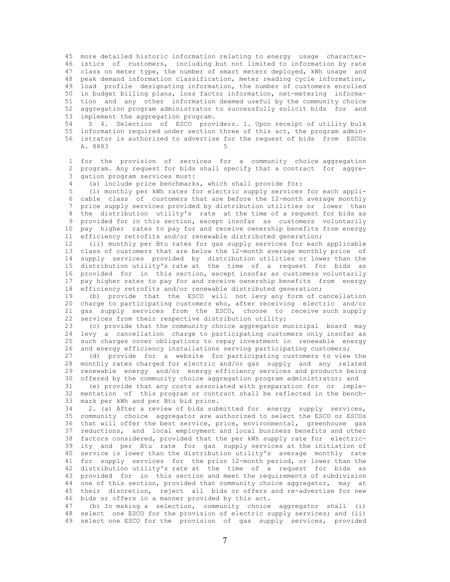45 more detailed historic information relating to energy usage character- 46 istics of customers, including but not limited to information by rate 47 class on meter type, the number of smart meters deployed, kWh usage and 48 peak demand information classification, meter reading cycle information, 49 load profile designating information, the number of customers enrolled 50 in budget billing plans, loss factor information, net-metering informa- 51 tion and any other information deemed useful by the community choice 52 aggregation program administrator to successfully solicit bids for and 53 implement the aggregation program.

 54 S 4. Selection of ESCO providers. 1. Upon receipt of utility bulk 55 information required under section three of this act, the program admin- 56 istrator is authorized to advertise for the request of bids from ESCOs A. 8883

 1 for the provision of services for a community choice aggregation 2 program. Any request for bids shall specify that a contract for aggre- 3 gation program services must:

4 (a) include price benchmarks, which shall provide for:<br>5 (i) monthly per kWh rates for electric supply services

(i) monthly per kWh rates for electric supply services for each appli-6 cable class of customers that are before the 12-month average monthly<br>7 price supply services provided by distribution utilities or lower than 7 price supply services provided by distribution utilities or lower than<br>8 the distribution utility's rate at the time of a request for bids as the distribution utility's rate at the time of a request for bids as 9 provided for in this section, except insofar as customers voluntarily 10 pay higher rates to pay for and receive ownership benefits from energy 11 efficiency retrofits and/or renewable distributed generation;

 12 (ii) monthly per Btu rates for gas supply services for each applicable 13 class of customers that are below the 12-month average monthly price of 14 supply services provided by distribution utilities or lower than the 15 distribution utility's rate at the time of a request for bids as 16 provided for in this section, except insofar as customers voluntarily 17 pay higher rates to pay for and receive ownership benefits from energy 18 efficiency retrofits and/or renewable distributed generation;

 19 (b) provide that the ESCO will not levy any form of cancellation 20 charge to participating customers who, after receiving electric and/or 21 gas supply services from the ESCO, choose to receive such supply 22 services from their respective distribution utility;

 23 (c) provide that the community choice aggregator municipal board may 24 levy a cancellation charge to participating customers only insofar as 25 such charges cover obligations to repay investment in renewable energy 26 and energy efficiency installations serving participating customers;

 27 (d) provide for a website for participating customers to view the 28 monthly rates charged for electric and/or gas supply and any related 29 renewable energy and/or energy efficiency services and products being 30 offered by the community choice aggregation program administrator; and

 31 (e) provide that any costs associated with preparation for or imple- 32 mentation of this program or contract shall be reflected in the bench- 33 mark per kWh and per Btu bid price.

34 2. (a) After a review of bids submitted for energy supply services,<br>35 community choice aggregator are authorized to select the ESCO or ESCOs community choice aggregator are authorized to select the ESCO or ESCOs 36 that will offer the best service, price, environmental, greenhouse gas 37 reductions, and local employment and local business benefits and other 38 factors considered, provided that the per kWh supply rate for electric- 39 ity and per Btu rate for gas supply services at the initiation of 40 service is lower than the distribution utility's average monthly rate 41 for supply services for the prior 12-month period, or lower than the 42 distribution utility's rate at the time of a request for bids as 43 provided for in this section and meet the requirements of subdivision 44 one of this section, provided that community choice aggregator, may at 45 their discretion, reject all bids or offers and re-advertise for new 46 bids or offers in a manner provided by this act.

 47 (b) In making a selection, community choice aggregator shall (i) 48 select one ESCO for the provision of electric supply services; and (ii) 49 select one ESCO for the provision of gas supply services, provided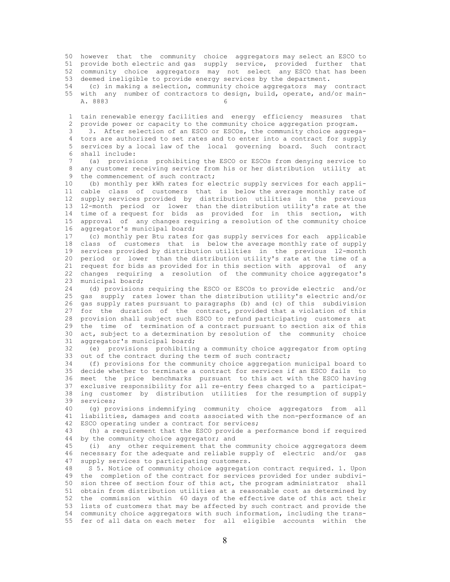50 however that the community choice aggregators may select an ESCO to 51 provide both electric and gas supply service, provided further that 52 community choice aggregators may not select any ESCO that has been 53 deemed ineligible to provide energy services by the department. 54 (c) in making a selection, community choice aggregators may contract 55 with any number of contractors to design, build, operate, and/or main- A. 8883 1 tain renewable energy facilities and energy efficiency measures that 2 provide power or capacity to the community choice aggregation program. 3 3. After selection of an ESCO or ESCOs, the community choice aggrega- 4 tors are authorized to set rates and to enter into a contract for supply 5 services by a local law of the local governing board. Such contract 6 shall include: 7 (a) provisions prohibiting the ESCO or ESCOs from denying service to 8 any customer receiving service from his or her distribution utility at 9 the commencement of such contract; 10 (b) monthly per kWh rates for electric supply services for each appli- 11 cable class of customers that is below the average monthly rate of 12 supply services provided by distribution utilities in the previous 13 12-month period or lower than the distribution utility's rate at the 14 time of a request for bids as provided for in this section, with 15 approval of any changes requiring a resolution of the community choice 16 aggregator's municipal board; 17 (c) monthly per Btu rates for gas supply services for each applicable 18 class of customers that is below the average monthly rate of supply 19 services provided by distribution utilities in the previous 12-month 20 period or lower than the distribution utility's rate at the time of a 21 request for bids as provided for in this section with approval of any 22 changes requiring a resolution of the community choice aggregator's 23 municipal board; 24 (d) provisions requiring the ESCO or ESCOs to provide electric and/or 25 gas supply rates lower than the distribution utility's electric and/or 26 gas supply rates pursuant to paragraphs (b) and (c) of this subdivision 27 for the duration of the contract, provided that a violation of this 28 provision shall subject such ESCO to refund participating customers at 29 the time of termination of a contract pursuant to section six of this 30 act, subject to a determination by resolution of the community choice 31 aggregator's municipal board; 32 (e) provisions prohibiting a community choice aggregator from opting 33 out of the contract during the term of such contract;<br>34 (f) provisions for the community choice aggregation 34 (f) provisions for the community choice aggregation municipal board to 35 decide whether to terminate a contract for services if an ESCO fails to 36 meet the price benchmarks pursuant to this act with the ESCO having 37 exclusive responsibility for all re-entry fees charged to a participat- 38 ing customer by distribution utilities for the resumption of supply 39 services; 40 (g) provisions indemnifying community choice aggregators from all<br>41 liabilities, damages and costs associated with the non-performance of an liabilities, damages and costs associated with the non-performance of an 42 ESCO operating under a contract for services; 43 (h) a requirement that the ESCO provide a performance bond if required 44 by the community choice aggregator; and 45 (i) any other requirement that the community choice aggregators deem 46 necessary for the adequate and reliable supply of electric and/or gas 47 supply services to participating customers.<br>48 55. Notice of community choice aggregati 8 5. Notice of community choice aggregation contract required. 1. Upon 49 the completion of the contract for services provided for under subdivi- 50 sion three of section four of this act, the program administrator shall

 51 obtain from distribution utilities at a reasonable cost as determined by 52 the commission within 60 days of the effective date of this act their 53 lists of customers that may be affected by such contract and provide the 54 community choice aggregators with such information, including the trans- 55 fer of all data on each meter for all eligible accounts within the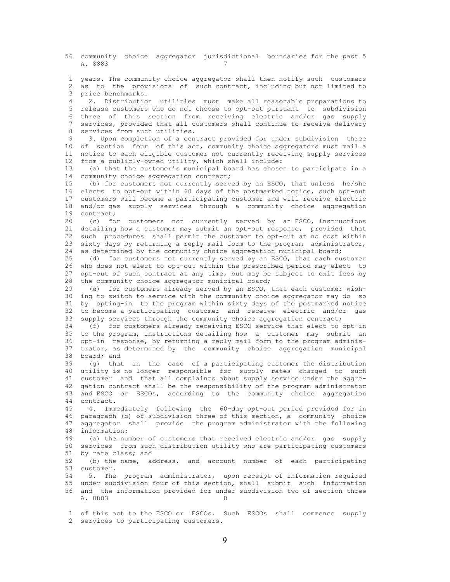56 community choice aggregator jurisdictional boundaries for the past 5 A. 8883 7

 1 years. The community choice aggregator shall then notify such customers 2 as to the provisions of such contract, including but not limited to 3 price benchmarks.

 4 2. Distribution utilities must make all reasonable preparations to 5 release customers who do not choose to opt-out pursuant to subdivision 6 three of this section from receiving electric and/or gas supply 7 services, provided that all customers shall continue to receive delivery 8 services from such utilities.<br>9 3 Upon completion of a con

 9 3. Upon completion of a contract provided for under subdivision three 10 of section four of this act, community choice aggregators must mail a 11 notice to each eligible customer not currently receiving supply services 12 from a publicly-owned utility, which shall include:

 13 (a) that the customer's municipal board has chosen to participate in a 14 community choice aggregation contract;

 15 (b) for customers not currently served by an ESCO, that unless he/she 16 elects to opt-out within 60 days of the postmarked notice, such opt-out 17 customers will become a participating customer and will receive electric 18 and/or gas supply services through a community choice aggregation<br>19 contract: contract;

 20 (c) for customers not currently served by an ESCO, instructions 21 detailing how a customer may submit an opt-out response, provided that 22 such procedures shall permit the customer to opt-out at no cost within 23 sixty days by returning a reply mail form to the program administrator, 24 as determined by the community choice aggregation municipal board;<br>25 (d) for customers not currently served by an ESCO, that each cu

(d) for customers not currently served by an ESCO, that each customer 26 who does not elect to opt-out within the prescribed period may elect to 27 opt-out of such contract at any time, but may be subject to exit fees by 28 the community choice aggregator municipal board;

 29 (e) for customers already served by an ESCO, that each customer wish- 30 ing to switch to service with the community choice aggregator may do so 31 by opting-in to the program within sixty days of the postmarked notice 32 to become a participating customer and receive electric and/or gas 33 supply services through the community choice aggregation contract;

 34 (f) for customers already receiving ESCO service that elect to opt-in 35 to the program, instructions detailing how a customer may submit an 36 opt-in response, by returning a reply mail form to the program adminis- 37 trator, as determined by the community choice aggregation municipal  $38$  board; and<br> $39$  (q) that

(g) that in the case of a participating customer the distribution 40 utility is no longer responsible for supply rates charged to such 41 customer and that all complaints about supply service under the aggre- 42 gation contract shall be the responsibility of the program administrator 43 and ESCO or ESCOs, according to the community choice aggregation 44 contract.

 45 4. Immediately following the 60-day opt-out period provided for in 46 paragraph (b) of subdivision three of this section, a community choice 47 aggregator shall provide the program administrator with the following 48 information:

 49 (a) the number of customers that received electric and/or gas supply 50 services from such distribution utility who are participating customers 51 by rate class; and

 52 (b) the name, address, and account number of each participating 53 customer.

 54 5. The program administrator, upon receipt of information required 55 under subdivision four of this section, shall submit such information 56 and the information provided for under subdivision two of section three A. 8883 8

 1 of this act to the ESCO or ESCOs. Such ESCOs shall commence supply 2 services to participating customers.